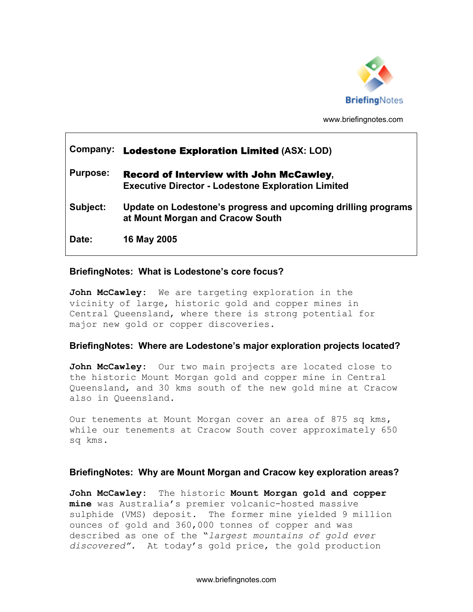

www.briefingnotes.com

# **Company:** Lodestone Exploration Limited **(ASX: LOD) Purpose:** Record of Interview with John McCawley**, Executive Director - Lodestone Exploration Limited Subject: Update on Lodestone's progress and upcoming drilling programs at Mount Morgan and Cracow South Date: 16 May 2005**

## **BriefingNotes: What is Lodestone's core focus?**

**John McCawley:** We are targeting exploration in the vicinity of large, historic gold and copper mines in Central Queensland, where there is strong potential for major new gold or copper discoveries.

## **BriefingNotes: Where are Lodestone's major exploration projects located?**

**John McCawley:** Our two main projects are located close to the historic Mount Morgan gold and copper mine in Central Queensland, and 30 kms south of the new gold mine at Cracow also in Queensland.

Our tenements at Mount Morgan cover an area of 875 sq kms, while our tenements at Cracow South cover approximately 650 sq kms.

## **BriefingNotes: Why are Mount Morgan and Cracow key exploration areas?**

**John McCawley:** The historic **Mount Morgan gold and copper mine** was Australia's premier volcanic-hosted massive sulphide (VMS) deposit. The former mine yielded 9 million ounces of gold and 360,000 tonnes of copper and was described as one of the "*largest mountains of gold ever discovered"*. At today's gold price, the gold production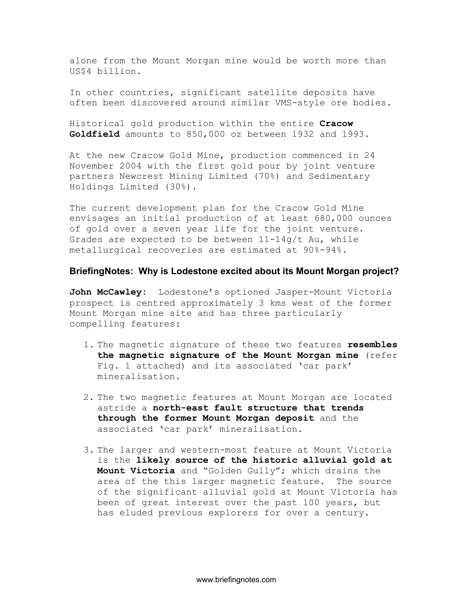alone from the Mount Morgan mine would be worth more than US\$4 billion.

In other countries, significant satellite deposits have often been discovered around similar VMS-style ore bodies.

Historical gold production within the entire **Cracow Goldfield** amounts to 850,000 oz between 1932 and 1993.

At the new Cracow Gold Mine, production commenced in 24 November 2004 with the first gold pour by joint venture partners Newcrest Mining Limited (70%) and Sedimentary Holdings Limited (30%).

The current development plan for the Cracow Gold Mine envisages an initial production of at least 680,000 ounces of gold over a seven year life for the joint venture. Grades are expected to be between  $11-14q/t$  Au, while metallurgical recoveries are estimated at 90%-94%.

#### **BriefingNotes: Why is Lodestone excited about its Mount Morgan project?**

**John McCawley:** Lodestone's optioned Jasper-Mount Victoria prospect is centred approximately 3 kms west of the former Mount Morgan mine site and has three particularly compelling features:

- 1. The magnetic signature of these two features **resembles the magnetic signature of the Mount Morgan mine** (refer Fig. 1 attached) and its associated 'car park' mineralisation.
- 2. The two magnetic features at Mount Morgan are located astride a **north-east fault structure that trends through the former Mount Morgan deposit** and the associated 'car park' mineralisation.
- 3. The larger and western-most feature at Mount Victoria is the **likely source of the historic alluvial gold at Mount Victoria** and "Golden Gully"; which drains the area of the this larger magnetic feature. The source of the significant alluvial gold at Mount Victoria has been of great interest over the past 100 years, but has eluded previous explorers for over a century.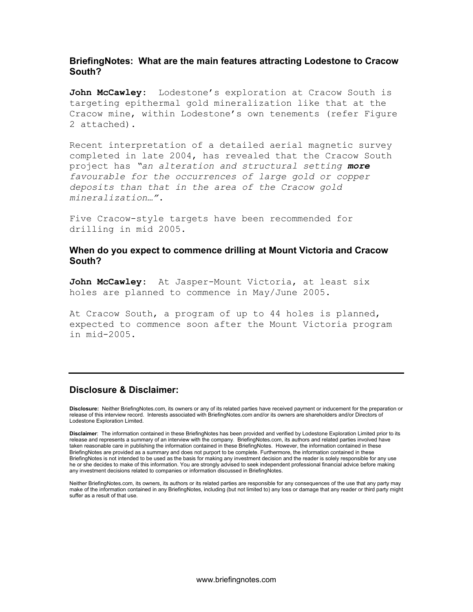## **BriefingNotes: What are the main features attracting Lodestone to Cracow South?**

**John McCawley:** Lodestone's exploration at Cracow South is targeting epithermal gold mineralization like that at the Cracow mine, within Lodestone's own tenements (refer Figure 2 attached).

Recent interpretation of a detailed aerial magnetic survey completed in late 2004, has revealed that the Cracow South project has *"an alteration and structural setting more favourable for the occurrences of large gold or copper deposits than that in the area of the Cracow gold mineralization…"*.

Five Cracow-style targets have been recommended for drilling in mid 2005.

## **When do you expect to commence drilling at Mount Victoria and Cracow South?**

**John McCawley:** At Jasper-Mount Victoria, at least six holes are planned to commence in May/June 2005.

At Cracow South, a program of up to 44 holes is planned, expected to commence soon after the Mount Victoria program in mid-2005.

#### **Disclosure & Disclaimer:**

**Disclosure:** Neither BriefingNotes.com, its owners or any of its related parties have received payment or inducement for the preparation or release of this interview record. Interests associated with BriefingNotes.com and/or its owners are shareholders and/or Directors of Lodestone Exploration Limited.

**Disclaimer**: The information contained in these BriefingNotes has been provided and verified by Lodestone Exploration Limited prior to its release and represents a summary of an interview with the company. BriefingNotes.com, its authors and related parties involved have taken reasonable care in publishing the information contained in these BriefingNotes. However, the information contained in these BriefingNotes are provided as a summary and does not purport to be complete. Furthermore, the information contained in these BriefingNotes is not intended to be used as the basis for making any investment decision and the reader is solely responsible for any use he or she decides to make of this information. You are strongly advised to seek independent professional financial advice before making any investment decisions related to companies or information discussed in BriefingNotes.

Neither BriefingNotes.com, its owners, its authors or its related parties are responsible for any consequences of the use that any party may make of the information contained in any BriefingNotes, including (but not limited to) any loss or damage that any reader or third party might suffer as a result of that use.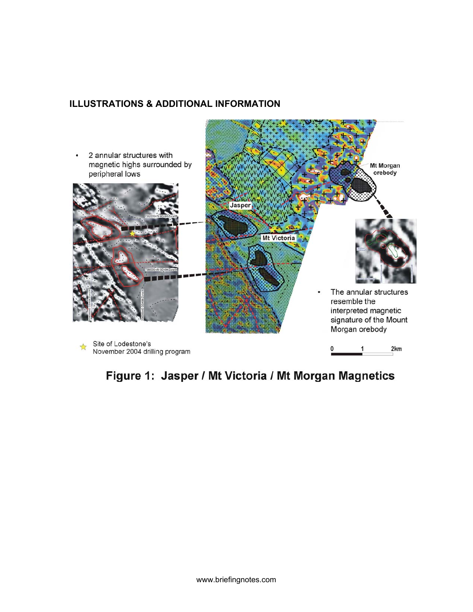## **ILLUSTRATIONS & ADDITIONAL INFORMATION**



## Figure 1: Jasper / Mt Victoria / Mt Morgan Magnetics